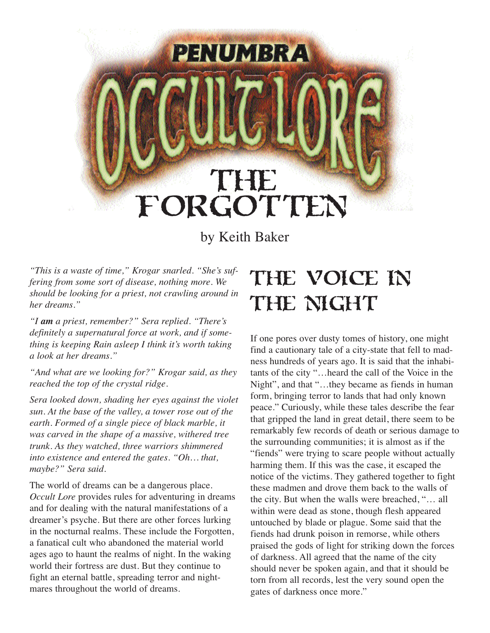# THE FORGOTTEN

**PENUMBRA** 

by Keith Baker

*"This is a waste of time," Krogar snarled. "She's suffering from some sort of disease, nothing more. We should be looking for a priest, not crawling around in her dreams."*

*"I am a priest, remember?" Sera replied. "There's definitely a supernatural force at work, and if something is keeping Rain asleep I think it's worth taking a look at her dreams."*

*"And what are we looking for?" Krogar said, as they reached the top of the crystal ridge.* 

*Sera looked down, shading her eyes against the violet sun. At the base of the valley, a tower rose out of the earth. Formed of a single piece of black marble, it was carved in the shape of a massive, withered tree trunk. As they watched, three warriors shimmered into existence and entered the gates. "Oh… that, maybe?" Sera said.* 

The world of dreams can be a dangerous place. *Occult Lore* provides rules for adventuring in dreams and for dealing with the natural manifestations of a dreamer's psyche. But there are other forces lurking in the nocturnal realms. These include the Forgotten, a fanatical cult who abandoned the material world ages ago to haunt the realms of night. In the waking world their fortress are dust. But they continue to fight an eternal battle, spreading terror and nightmares throughout the world of dreams.

# The Voice in THE NIGHT

If one pores over dusty tomes of history, one might find a cautionary tale of a city-state that fell to madness hundreds of years ago. It is said that the inhabitants of the city "…heard the call of the Voice in the Night", and that "…they became as fiends in human form, bringing terror to lands that had only known peace." Curiously, while these tales describe the fear that gripped the land in great detail, there seem to be remarkably few records of death or serious damage to the surrounding communities; it is almost as if the "fiends" were trying to scare people without actually harming them. If this was the case, it escaped the notice of the victims. They gathered together to fight these madmen and drove them back to the walls of the city. But when the walls were breached, "… all within were dead as stone, though flesh appeared untouched by blade or plague. Some said that the fiends had drunk poison in remorse, while others praised the gods of light for striking down the forces of darkness. All agreed that the name of the city should never be spoken again, and that it should be torn from all records, lest the very sound open the gates of darkness once more."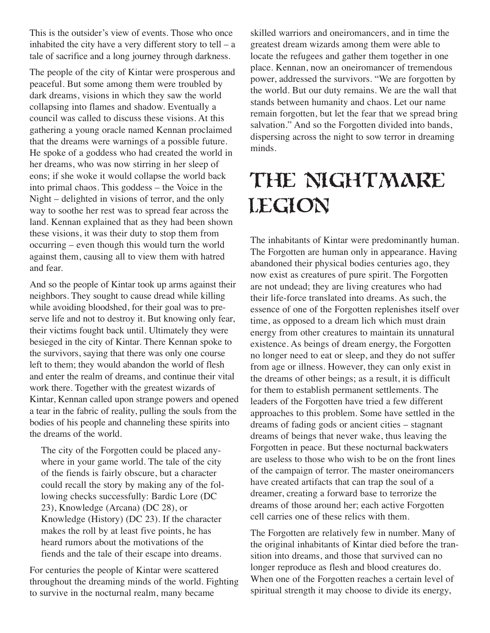This is the outsider's view of events. Those who once inhabited the city have a very different story to tell – a tale of sacrifice and a long journey through darkness.

The people of the city of Kintar were prosperous and peaceful. But some among them were troubled by dark dreams, visions in which they saw the world collapsing into flames and shadow. Eventually a council was called to discuss these visions. At this gathering a young oracle named Kennan proclaimed that the dreams were warnings of a possible future. He spoke of a goddess who had created the world in her dreams, who was now stirring in her sleep of eons; if she woke it would collapse the world back into primal chaos. This goddess – the Voice in the Night – delighted in visions of terror, and the only way to soothe her rest was to spread fear across the land. Kennan explained that as they had been shown these visions, it was their duty to stop them from occurring – even though this would turn the world against them, causing all to view them with hatred and fear.

And so the people of Kintar took up arms against their neighbors. They sought to cause dread while killing while avoiding bloodshed, for their goal was to preserve life and not to destroy it. But knowing only fear, their victims fought back until. Ultimately they were besieged in the city of Kintar. There Kennan spoke to the survivors, saying that there was only one course left to them; they would abandon the world of flesh and enter the realm of dreams, and continue their vital work there. Together with the greatest wizards of Kintar, Kennan called upon strange powers and opened a tear in the fabric of reality, pulling the souls from the bodies of his people and channeling these spirits into the dreams of the world.

The city of the Forgotten could be placed anywhere in your game world. The tale of the city of the fiends is fairly obscure, but a character could recall the story by making any of the following checks successfully: Bardic Lore (DC 23), Knowledge (Arcana) (DC 28), or Knowledge (History) (DC 23). If the character makes the roll by at least five points, he has heard rumors about the motivations of the fiends and the tale of their escape into dreams.

For centuries the people of Kintar were scattered throughout the dreaming minds of the world. Fighting to survive in the nocturnal realm, many became

skilled warriors and oneiromancers, and in time the greatest dream wizards among them were able to locate the refugees and gather them together in one place. Kennan, now an oneiromancer of tremendous power, addressed the survivors. "We are forgotten by the world. But our duty remains. We are the wall that stands between humanity and chaos. Let our name remain forgotten, but let the fear that we spread bring salvation." And so the Forgotten divided into bands, dispersing across the night to sow terror in dreaming minds.

# The Nightmare LEGION

The inhabitants of Kintar were predominantly human. The Forgotten are human only in appearance. Having abandoned their physical bodies centuries ago, they now exist as creatures of pure spirit. The Forgotten are not undead; they are living creatures who had their life-force translated into dreams. As such, the essence of one of the Forgotten replenishes itself over time, as opposed to a dream lich which must drain energy from other creatures to maintain its unnatural existence. As beings of dream energy, the Forgotten no longer need to eat or sleep, and they do not suffer from age or illness. However, they can only exist in the dreams of other beings; as a result, it is difficult for them to establish permanent settlements. The leaders of the Forgotten have tried a few different approaches to this problem. Some have settled in the dreams of fading gods or ancient cities – stagnant dreams of beings that never wake, thus leaving the Forgotten in peace. But these nocturnal backwaters are useless to those who wish to be on the front lines of the campaign of terror. The master oneiromancers have created artifacts that can trap the soul of a dreamer, creating a forward base to terrorize the dreams of those around her; each active Forgotten cell carries one of these relics with them.

The Forgotten are relatively few in number. Many of the original inhabitants of Kintar died before the transition into dreams, and those that survived can no longer reproduce as flesh and blood creatures do. When one of the Forgotten reaches a certain level of spiritual strength it may choose to divide its energy,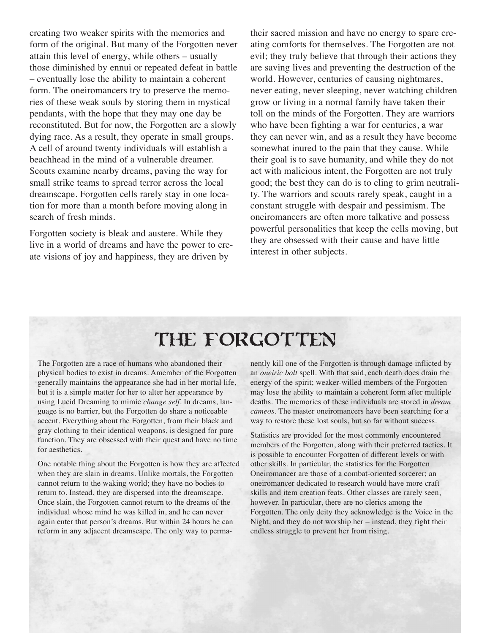creating two weaker spirits with the memories and form of the original. But many of the Forgotten never attain this level of energy, while others – usually those diminished by ennui or repeated defeat in battle – eventually lose the ability to maintain a coherent form. The oneiromancers try to preserve the memories of these weak souls by storing them in mystical pendants, with the hope that they may one day be reconstituted. But for now, the Forgotten are a slowly dying race. As a result, they operate in small groups. A cell of around twenty individuals will establish a beachhead in the mind of a vulnerable dreamer. Scouts examine nearby dreams, paving the way for small strike teams to spread terror across the local dreamscape. Forgotten cells rarely stay in one location for more than a month before moving along in search of fresh minds.

Forgotten society is bleak and austere. While they live in a world of dreams and have the power to create visions of joy and happiness, they are driven by

their sacred mission and have no energy to spare creating comforts for themselves. The Forgotten are not evil; they truly believe that through their actions they are saving lives and preventing the destruction of the world. However, centuries of causing nightmares, never eating, never sleeping, never watching children grow or living in a normal family have taken their toll on the minds of the Forgotten. They are warriors who have been fighting a war for centuries, a war they can never win, and as a result they have become somewhat inured to the pain that they cause. While their goal is to save humanity, and while they do not act with malicious intent, the Forgotten are not truly good; the best they can do is to cling to grim neutrality. The warriors and scouts rarely speak, caught in a constant struggle with despair and pessimism. The oneiromancers are often more talkative and possess powerful personalities that keep the cells moving, but they are obsessed with their cause and have little interest in other subjects.

# THE FORGOTTEN

The Forgotten are a race of humans who abandoned their physical bodies to exist in dreams. Amember of the Forgotten generally maintains the appearance she had in her mortal life, but it is a simple matter for her to alter her appearance by using Lucid Dreaming to mimic *change self*. In dreams, language is no barrier, but the Forgotten do share a noticeable accent. Everything about the Forgotten, from their black and gray clothing to their identical weapons, is designed for pure function. They are obsessed with their quest and have no time for aesthetics.

One notable thing about the Forgotten is how they are affected when they are slain in dreams. Unlike mortals, the Forgotten cannot return to the waking world; they have no bodies to return to. Instead, they are dispersed into the dreamscape. Once slain, the Forgotten cannot return to the dreams of the individual whose mind he was killed in, and he can never again enter that person's dreams. But within 24 hours he can reform in any adjacent dreamscape. The only way to permanently kill one of the Forgotten is through damage inflicted by an *oneiric bolt* spell. With that said, each death does drain the energy of the spirit; weaker-willed members of the Forgotten may lose the ability to maintain a coherent form after multiple deaths. The memories of these individuals are stored in *dream cameos*. The master oneiromancers have been searching for a way to restore these lost souls, but so far without success.

Statistics are provided for the most commonly encountered members of the Forgotten, along with their preferred tactics. It is possible to encounter Forgotten of different levels or with other skills. In particular, the statistics for the Forgotten Oneiromancer are those of a combat-oriented sorcerer; an oneiromancer dedicated to research would have more craft skills and item creation feats. Other classes are rarely seen, however. In particular, there are no clerics among the Forgotten. The only deity they acknowledge is the Voice in the Night, and they do not worship her – instead, they fight their endless struggle to prevent her from rising.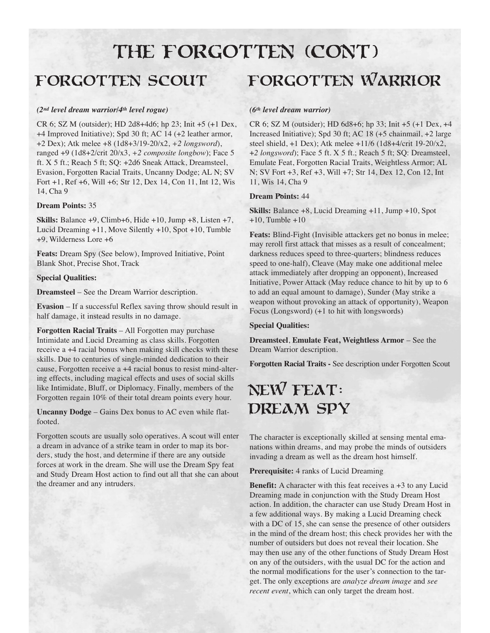# THE FORGOTTEN (CONT)

### Forgotten Scout

### *(2nd level dream warrior/4th level rogue)*

CR 6; SZ M (outsider); HD 2d8+4d6; hp 23; Init +5 (+1 Dex, +4 Improved Initiative); Spd 30 ft; AC 14 (+2 leather armor, +2 Dex); Atk melee +8 (1d8+3/19-20/x2, *+2 longsword*), ranged +9 (1d8+2/crit 20/x3, *+2 composite longbow*); Face 5 ft. X 5 ft.; Reach 5 ft; SQ: +2d6 Sneak Attack, Dreamsteel, Evasion, Forgotten Racial Traits, Uncanny Dodge; AL N; SV Fort +1, Ref +6, Will +6; Str 12, Dex 14, Con 11, Int 12, Wis 14, Cha 9

### **Dream Points:** 35

**Skills:** Balance +9, Climb+6, Hide +10, Jump +8, Listen +7, Lucid Dreaming +11, Move Silently +10, Spot +10, Tumble +9, Wilderness Lore +6

**Feats:** Dream Spy (See below), Improved Initiative, Point Blank Shot, Precise Shot, Track

#### **Special Qualities:**

**Dreamsteel** – See the Dream Warrior description.

**Evasion** – If a successful Reflex saving throw should result in half damage, it instead results in no damage.

**Forgotten Racial Traits** – All Forgotten may purchase Intimidate and Lucid Dreaming as class skills. Forgotten receive a +4 racial bonus when making skill checks with these skills. Due to centuries of single-minded dedication to their cause, Forgotten receive a +4 racial bonus to resist mind-altering effects, including magical effects and uses of social skills like Intimidate, Bluff, or Diplomacy. Finally, members of the Forgotten regain 10% of their total dream points every hour.

**Uncanny Dodge** – Gains Dex bonus to AC even while flatfooted.

Forgotten scouts are usually solo operatives. A scout will enter a dream in advance of a strike team in order to map its borders, study the host, and determine if there are any outside forces at work in the dream. She will use the Dream Spy feat and Study Dream Host action to find out all that she can about the dreamer and any intruders.

## Forgotten Warrior

### *(6th level dream warrior)*

CR 6; SZ M (outsider); HD 6d8+6; hp 33; Init +5 (+1 Dex, +4 Increased Initiative); Spd 30 ft; AC 18 (+5 chainmail, +2 large steel shield, +1 Dex); Atk melee +11/6 (1d8+4/crit 19-20/x2, +*2 longsword*); Face 5 ft. X 5 ft.; Reach 5 ft; SQ: Dreamsteel, Emulate Feat, Forgotten Racial Traits, Weightless Armor; AL N; SV Fort +3, Ref +3, Will +7; Str 14, Dex 12, Con 12, Int 11, Wis 14, Cha 9

#### **Dream Points:** 44

**Skills:** Balance +8, Lucid Dreaming +11, Jump +10, Spot  $+10$ , Tumble  $+10$ 

**Feats:** Blind-Fight (Invisible attackers get no bonus in melee; may reroll first attack that misses as a result of concealment; darkness reduces speed to three-quarters; blindness reduces speed to one-half), Cleave (May make one additional melee attack immediately after dropping an opponent), Increased Initiative, Power Attack (May reduce chance to hit by up to 6 to add an equal amount to damage), Sunder (May strike a weapon without provoking an attack of opportunity), Weapon Focus (Longsword) (+1 to hit with longswords)

#### **Special Qualities:**

**Dreamsteel**, **Emulate Feat, Weightless Armor** – See the Dream Warrior description.

**Forgotten Racial Traits -** See description under Forgotten Scout

## New Feat: DREAM SPY

The character is exceptionally skilled at sensing mental emanations within dreams, and may probe the minds of outsiders invading a dream as well as the dream host himself.

**Prerequisite:** 4 ranks of Lucid Dreaming

**Benefit:** A character with this feat receives a +3 to any Lucid Dreaming made in conjunction with the Study Dream Host action. In addition, the character can use Study Dream Host in a few additional ways. By making a Lucid Dreaming check with a DC of 15, she can sense the presence of other outsiders in the mind of the dream host; this check provides her with the number of outsiders but does not reveal their location. She may then use any of the other functions of Study Dream Host on any of the outsiders, with the usual DC for the action and the normal modifications for the user's connection to the target. The only exceptions are *analyze dream image* and *see recent event*, which can only target the dream host.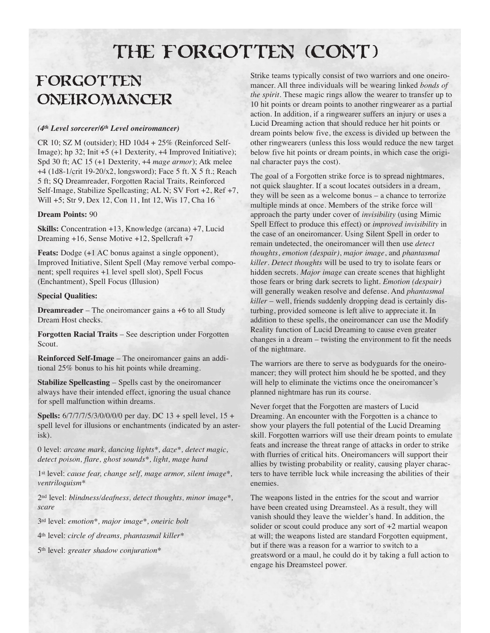# THE FORGOTTEN (CONT)

## **FORGOTTEN** Oneiromancer

### *(4th Level sorcerer/6th Level oneiromancer)*

CR 10; SZ M (outsider); HD 10d4 + 25% (Reinforced Self-Image); hp 32; Init +5 (+1 Dexterity, +4 Improved Initiative); Spd 30 ft; AC 15 (+1 Dexterity, +4 *mage armor*); Atk melee +4 (1d8-1/crit 19-20/x2, longsword); Face 5 ft. X 5 ft.; Reach 5 ft; SQ Dreamreader, Forgotten Racial Traits, Reinforced Self-Image, Stabilize Spellcasting; AL N; SV Fort +2, Ref +7, Will +5; Str 9, Dex 12, Con 11, Int 12, Wis 17, Cha 16

#### **Dream Points:** 90

**Skills:** Concentration +13, Knowledge (arcana) +7, Lucid Dreaming +16, Sense Motive +12, Spellcraft +7

**Feats:** Dodge (+1 AC bonus against a single opponent), Improved Initiative, Silent Spell (May remove verbal component; spell requires +1 level spell slot), Spell Focus (Enchantment), Spell Focus (Illusion)

#### **Special Qualities:**

**Dreamreader** – The oneiromancer gains a +6 to all Study Dream Host checks.

**Forgotten Racial Traits** – See description under Forgotten Scout.

**Reinforced Self-Image** – The oneiromancer gains an additional 25% bonus to his hit points while dreaming.

**Stabilize Spellcasting** – Spells cast by the oneiromancer always have their intended effect, ignoring the usual chance for spell malfunction within dreams.

**Spells:** 6/7/7/7/5/3/0/0/0/0 per day. DC 13 + spell level, 15 + spell level for illusions or enchantments (indicated by an asterisk).

0 level: *arcane mark, dancing lights\*, daze\*, detect magic, detect poison, flare, ghost sounds\*, light, mage hand*

1st level: *cause fear, change self, mage armor, silent image\*, ventriloquism\** 

2nd level: *blindness/deafness, detect thoughts, minor image\*, scare*

3rd level: *emotion\*, major image\*, oneiric bolt*

4th level: *circle of dreams, phantasmal killer\**

5th level: *greater shadow conjuration\**

Strike teams typically consist of two warriors and one oneiromancer. All three individuals will be wearing linked *bonds of the spirit*. These magic rings allow the wearer to transfer up to 10 hit points or dream points to another ringwearer as a partial action. In addition, if a ringwearer suffers an injury or uses a Lucid Dreaming action that should reduce her hit points or dream points below five, the excess is divided up between the other ringwearers (unless this loss would reduce the new target below five hit points or dream points, in which case the original character pays the cost).

The goal of a Forgotten strike force is to spread nightmares, not quick slaughter. If a scout locates outsiders in a dream, they will be seen as a welcome bonus – a chance to terrorize multiple minds at once. Members of the strike force will approach the party under cover of *invisibility* (using Mimic Spell Effect to produce this effect) or *improved invisibility* in the case of an oneiromancer. Using Silent Spell in order to remain undetected, the oneiromancer will then use *detect thoughts*, *emotion (despair)*, *major image*, and *phantasmal killer*. *Detect thoughts* will be used to try to isolate fears or hidden secrets. *Major image* can create scenes that highlight those fears or bring dark secrets to light. *Emotion (despair)* will generally weaken resolve and defense. And *phantasmal killer* – well, friends suddenly dropping dead is certainly disturbing, provided someone is left alive to appreciate it. In addition to these spells, the oneiromancer can use the Modify Reality function of Lucid Dreaming to cause even greater changes in a dream – twisting the environment to fit the needs of the nightmare.

The warriors are there to serve as bodyguards for the oneiromancer; they will protect him should he be spotted, and they will help to eliminate the victims once the oneiromancer's planned nightmare has run its course.

Never forget that the Forgotten are masters of Lucid Dreaming. An encounter with the Forgotten is a chance to show your players the full potential of the Lucid Dreaming skill. Forgotten warriors will use their dream points to emulate feats and increase the threat range of attacks in order to strike with flurries of critical hits. Oneiromancers will support their allies by twisting probability or reality, causing player characters to have terrible luck while increasing the abilities of their enemies.

The weapons listed in the entries for the scout and warrior have been created using Dreamsteel. As a result, they will vanish should they leave the wielder's hand. In addition, the solider or scout could produce any sort of +2 martial weapon at will; the weapons listed are standard Forgotten equipment, but if there was a reason for a warrior to switch to a greatsword or a maul, he could do it by taking a full action to engage his Dreamsteel power.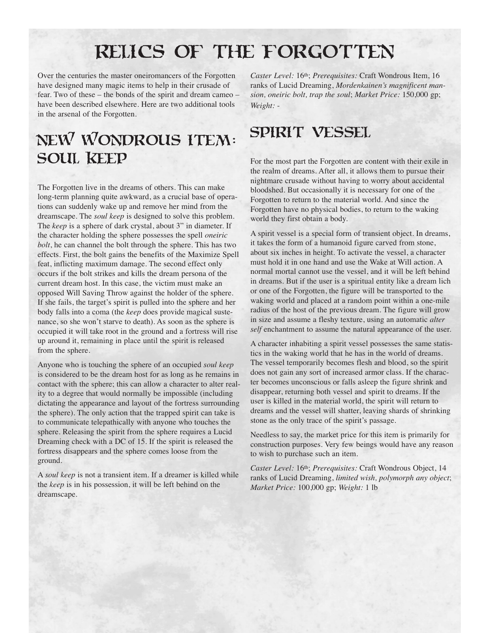# Relics of the Forgotten

Over the centuries the master oneiromancers of the Forgotten have designed many magic items to help in their crusade of fear. Two of these – the bonds of the spirit and dream cameo – have been described elsewhere. Here are two additional tools in the arsenal of the Forgotten.

## New Wondrous Item: SOUL KEEP

The Forgotten live in the dreams of others. This can make long-term planning quite awkward, as a crucial base of operations can suddenly wake up and remove her mind from the dreamscape. The *soul keep* is designed to solve this problem. The *keep* is a sphere of dark crystal, about 3" in diameter. If the character holding the sphere possesses the spell *oneiric bolt*, he can channel the bolt through the sphere. This has two effects. First, the bolt gains the benefits of the Maximize Spell feat, inflicting maximum damage. The second effect only occurs if the bolt strikes and kills the dream persona of the current dream host. In this case, the victim must make an opposed Will Saving Throw against the holder of the sphere. If she fails, the target's spirit is pulled into the sphere and her body falls into a coma (the *keep* does provide magical sustenance, so she won't starve to death). As soon as the sphere is occupied it will take root in the ground and a fortress will rise up around it, remaining in place until the spirit is released from the sphere.

Anyone who is touching the sphere of an occupied *soul keep* is considered to be the dream host for as long as he remains in contact with the sphere; this can allow a character to alter reality to a degree that would normally be impossible (including dictating the appearance and layout of the fortress surrounding the sphere). The only action that the trapped spirit can take is to communicate telepathically with anyone who touches the sphere. Releasing the spirit from the sphere requires a Lucid Dreaming check with a DC of 15. If the spirit is released the fortress disappears and the sphere comes loose from the ground.

A *soul keep* is not a transient item. If a dreamer is killed while the *keep* is in his possession, it will be left behind on the dreamscape.

*Caster Level:* 16th; *Prerequisites:* Craft Wondrous Item, 16 ranks of Lucid Dreaming, *Mordenkainen's magnificent mansion, oneiric bolt, trap the soul*; *Market Price:* 150,000 gp; *Weight:* -

### SPIRIT VESSEL

For the most part the Forgotten are content with their exile in the realm of dreams. After all, it allows them to pursue their nightmare crusade without having to worry about accidental bloodshed. But occasionally it is necessary for one of the Forgotten to return to the material world. And since the Forgotten have no physical bodies, to return to the waking world they first obtain a body.

A spirit vessel is a special form of transient object. In dreams, it takes the form of a humanoid figure carved from stone, about six inches in height. To activate the vessel, a character must hold it in one hand and use the Wake at Will action. A normal mortal cannot use the vessel, and it will be left behind in dreams. But if the user is a spiritual entity like a dream lich or one of the Forgotten, the figure will be transported to the waking world and placed at a random point within a one-mile radius of the host of the previous dream. The figure will grow in size and assume a fleshy texture, using an automatic *alter self* enchantment to assume the natural appearance of the user.

A character inhabiting a spirit vessel possesses the same statistics in the waking world that he has in the world of dreams. The vessel temporarily becomes flesh and blood, so the spirit does not gain any sort of increased armor class. If the character becomes unconscious or falls asleep the figure shrink and disappear, returning both vessel and spirit to dreams. If the user is killed in the material world, the spirit will return to dreams and the vessel will shatter, leaving shards of shrinking stone as the only trace of the spirit's passage.

Needless to say, the market price for this item is primarily for construction purposes. Very few beings would have any reason to wish to purchase such an item.

*Caster Level:* 16th; *Prerequisites:* Craft Wondrous Object, 14 ranks of Lucid Dreaming, *limited wish, polymorph any object*; *Market Price:* 100,000 gp; *Weight:* 1 lb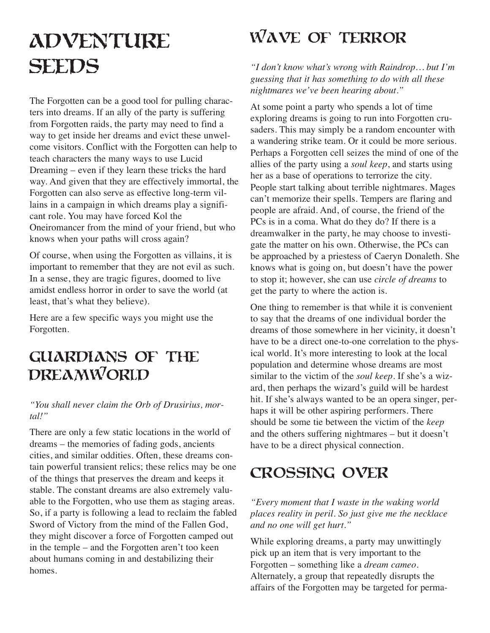# **ADVENTURE SEEDS**

The Forgotten can be a good tool for pulling characters into dreams. If an ally of the party is suffering from Forgotten raids, the party may need to find a way to get inside her dreams and evict these unwelcome visitors. Conflict with the Forgotten can help to teach characters the many ways to use Lucid Dreaming – even if they learn these tricks the hard way. And given that they are effectively immortal, the Forgotten can also serve as effective long-term villains in a campaign in which dreams play a significant role. You may have forced Kol the Oneiromancer from the mind of your friend, but who knows when your paths will cross again?

Of course, when using the Forgotten as villains, it is important to remember that they are not evil as such. In a sense, they are tragic figures, doomed to live amidst endless horror in order to save the world (at least, that's what they believe).

Here are a few specific ways you might use the Forgotten.

## Guardians of the DREAMWORLD

### *"You shall never claim the Orb of Drusirius, mortal!"*

There are only a few static locations in the world of dreams – the memories of fading gods, ancients cities, and similar oddities. Often, these dreams contain powerful transient relics; these relics may be one of the things that preserves the dream and keeps it stable. The constant dreams are also extremely valuable to the Forgotten, who use them as staging areas. So, if a party is following a lead to reclaim the fabled Sword of Victory from the mind of the Fallen God, they might discover a force of Forgotten camped out in the temple – and the Forgotten aren't too keen about humans coming in and destabilizing their homes.

# Wave of Terror

*"I don't know what's wrong with Raindrop… but I'm guessing that it has something to do with all these nightmares we've been hearing about."*

At some point a party who spends a lot of time exploring dreams is going to run into Forgotten crusaders. This may simply be a random encounter with a wandering strike team. Or it could be more serious. Perhaps a Forgotten cell seizes the mind of one of the allies of the party using a *soul keep*, and starts using her as a base of operations to terrorize the city. People start talking about terrible nightmares. Mages can't memorize their spells. Tempers are flaring and people are afraid. And, of course, the friend of the PCs is in a coma. What do they do? If there is a dreamwalker in the party, he may choose to investigate the matter on his own. Otherwise, the PCs can be approached by a priestess of Caeryn Donaleth. She knows what is going on, but doesn't have the power to stop it; however, she can use *circle of dreams* to get the party to where the action is.

One thing to remember is that while it is convenient to say that the dreams of one individual border the dreams of those somewhere in her vicinity, it doesn't have to be a direct one-to-one correlation to the physical world. It's more interesting to look at the local population and determine whose dreams are most similar to the victim of the *soul keep*. If she's a wizard, then perhaps the wizard's guild will be hardest hit. If she's always wanted to be an opera singer, perhaps it will be other aspiring performers. There should be some tie between the victim of the *keep* and the others suffering nightmares – but it doesn't have to be a direct physical connection.

## Crossing Over

*"Every moment that I waste in the waking world places reality in peril. So just give me the necklace and no one will get hurt."*

While exploring dreams, a party may unwittingly pick up an item that is very important to the Forgotten – something like a *dream cameo*. Alternately, a group that repeatedly disrupts the affairs of the Forgotten may be targeted for perma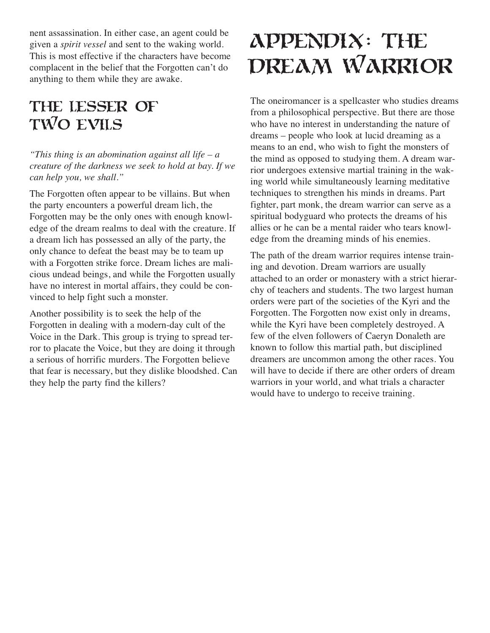nent assassination. In either case, an agent could be given a *spirit vessel* and sent to the waking world. This is most effective if the characters have become complacent in the belief that the Forgotten can't do anything to them while they are awake.

## The Lesser of TWO EVILS

*"This thing is an abomination against all life – a creature of the darkness we seek to hold at bay. If we can help you, we shall."*

The Forgotten often appear to be villains. But when the party encounters a powerful dream lich, the Forgotten may be the only ones with enough knowledge of the dream realms to deal with the creature. If a dream lich has possessed an ally of the party, the only chance to defeat the beast may be to team up with a Forgotten strike force. Dream liches are malicious undead beings, and while the Forgotten usually have no interest in mortal affairs, they could be convinced to help fight such a monster.

Another possibility is to seek the help of the Forgotten in dealing with a modern-day cult of the Voice in the Dark. This group is trying to spread terror to placate the Voice, but they are doing it through a serious of horrific murders. The Forgotten believe that fear is necessary, but they dislike bloodshed. Can they help the party find the killers?

# Appendix: The DREAM WARRIOR

The oneiromancer is a spellcaster who studies dreams from a philosophical perspective. But there are those who have no interest in understanding the nature of dreams – people who look at lucid dreaming as a means to an end, who wish to fight the monsters of the mind as opposed to studying them. A dream warrior undergoes extensive martial training in the waking world while simultaneously learning meditative techniques to strengthen his minds in dreams. Part fighter, part monk, the dream warrior can serve as a spiritual bodyguard who protects the dreams of his allies or he can be a mental raider who tears knowledge from the dreaming minds of his enemies.

The path of the dream warrior requires intense training and devotion. Dream warriors are usually attached to an order or monastery with a strict hierarchy of teachers and students. The two largest human orders were part of the societies of the Kyri and the Forgotten. The Forgotten now exist only in dreams, while the Kyri have been completely destroyed. A few of the elven followers of Caeryn Donaleth are known to follow this martial path, but disciplined dreamers are uncommon among the other races. You will have to decide if there are other orders of dream warriors in your world, and what trials a character would have to undergo to receive training.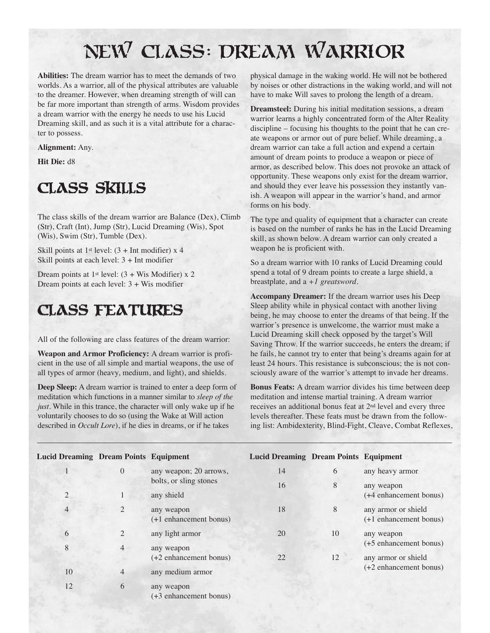# New Class: Dream Warrior

**Abilities:** The dream warrior has to meet the demands of two worlds. As a warrior, all of the physical attributes are valuable to the dreamer. However, when dreaming strength of will can be far more important than strength of arms. Wisdom provides a dream warrior with the energy he needs to use his Lucid Dreaming skill, and as such it is a vital attribute for a character to possess.

### **Alignment:** Any.

**Hit Die:** d8

## Class Skills

The class skills of the dream warrior are Balance (Dex), Climb (Str), Craft (Int), Jump (Str), Lucid Dreaming (Wis), Spot (Wis), Swim (Str), Tumble (Dex).

Skill points at 1<sup>st</sup> level:  $(3 + Int$  modifier) x 4 Skill points at each level: 3 + Int modifier

Dream points at 1<sup>st</sup> level:  $(3 + Wis$  Modifier) x 2 Dream points at each level: 3 + Wis modifier

### Class Features

All of the following are class features of the dream warrior:

**Weapon and Armor Proficiency:** A dream warrior is proficient in the use of all simple and martial weapons, the use of all types of armor (heavy, medium, and light), and shields.

**Deep Sleep:** A dream warrior is trained to enter a deep form of meditation which functions in a manner similar to *sleep of the just*. While in this trance, the character will only wake up if he voluntarily chooses to do so (using the Wake at Will action described in *Occult Lore*), if he dies in dreams, or if he takes

physical damage in the waking world. He will not be bothered by noises or other distractions in the waking world, and will not have to make Will saves to prolong the length of a dream.

**Dreamsteel:** During his initial meditation sessions, a dream warrior learns a highly concentrated form of the Alter Reality discipline – focusing his thoughts to the point that he can create weapons or armor out of pure belief. While dreaming, a dream warrior can take a full action and expend a certain amount of dream points to produce a weapon or piece of armor, as described below. This does not provoke an attack of opportunity. These weapons only exist for the dream warrior, and should they ever leave his possession they instantly vanish. A weapon will appear in the warrior's hand, and armor forms on his body.

The type and quality of equipment that a character can create is based on the number of ranks he has in the Lucid Dreaming skill, as shown below. A dream warrior can only created a weapon he is proficient with.

So a dream warrior with 10 ranks of Lucid Dreaming could spend a total of 9 dream points to create a large shield, a breastplate, and a *+1 greatsword*.

**Accompany Dreamer:** If the dream warrior uses his Deep Sleep ability while in physical contact with another living being, he may choose to enter the dreams of that being. If the warrior's presence is unwelcome, the warrior must make a Lucid Dreaming skill check opposed by the target's Will Saving Throw. If the warrior succeeds, he enters the dream; if he fails, he cannot try to enter that being's dreams again for at least 24 hours. This resistance is subconscious; the is not consciously aware of the warrior's attempt to invade her dreams.

**Bonus Feats:** A dream warrior divides his time between deep meditation and intense martial training. A dream warrior receives an additional bonus feat at 2nd level and every three levels thereafter. These feats must be drawn from the following list: Ambidexterity, Blind-Fight, Cleave, Combat Reflexes,

| <b>Lucid Dreaming Dream Points Equipment</b> |                |                                     | <b>Lucid Dreaming Dream Points Equipment</b> |    |                                      |
|----------------------------------------------|----------------|-------------------------------------|----------------------------------------------|----|--------------------------------------|
|                                              | $\Omega$       | any weapon; 20 arrows,              | 14                                           | 6  | any heavy armor                      |
|                                              |                | bolts, or sling stones              | 16                                           | 8  | any weapon                           |
| 2                                            |                | any shield                          |                                              |    | (+4 enhancement bonus)               |
| $\overline{4}$                               | 2              | any weapon                          | 18                                           | 8  | any armor or shield                  |
|                                              |                | (+1 enhancement bonus)              |                                              |    | (+1 enhancement bonus)               |
| 6                                            | 2              | 20<br>any light armor<br>any weapon |                                              | 10 | any weapon<br>(+5 enhancement bonus) |
| 8                                            | $\overline{4}$ |                                     |                                              |    |                                      |
|                                              |                | (+2 enhancement bonus)              | 22                                           | 12 | any armor or shield                  |
| 10                                           | $\overline{4}$ | any medium armor                    |                                              |    | (+2 enhancement bonus)               |
| 12                                           | 6              | any weapon                          |                                              |    |                                      |

(+3 enhancement bonus)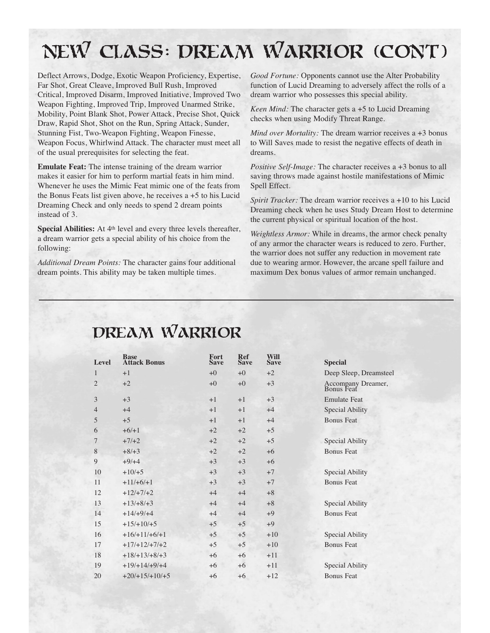# New Class: Dream Warrior (cont)

Deflect Arrows, Dodge, Exotic Weapon Proficiency, Expertise, Far Shot, Great Cleave, Improved Bull Rush, Improved Critical, Improved Disarm, Improved Initiative, Improved Two Weapon Fighting, Improved Trip, Improved Unarmed Strike, Mobility, Point Blank Shot, Power Attack, Precise Shot, Quick Draw, Rapid Shot, Shot on the Run, Spring Attack, Sunder, Stunning Fist, Two-Weapon Fighting, Weapon Finesse, Weapon Focus, Whirlwind Attack. The character must meet all of the usual prerequisites for selecting the feat.

**Emulate Feat:** The intense training of the dream warrior makes it easier for him to perform martial feats in him mind. Whenever he uses the Mimic Feat mimic one of the feats from the Bonus Feats list given above, he receives a +5 to his Lucid Dreaming Check and only needs to spend 2 dream points instead of 3.

**Special Abilities:** At 4<sup>th</sup> level and every three levels thereafter, a dream warrior gets a special ability of his choice from the following:

*Additional Dream Points:* The character gains four additional dream points. This ability may be taken multiple times.

*Good Fortune:* Opponents cannot use the Alter Probability function of Lucid Dreaming to adversely affect the rolls of a dream warrior who possesses this special ability.

*Keen Mind:* The character gets a +5 to Lucid Dreaming checks when using Modify Threat Range.

*Mind over Mortality:* The dream warrior receives a +3 bonus to Will Saves made to resist the negative effects of death in dreams.

*Positive Self-Image:* The character receives a +3 bonus to all saving throws made against hostile manifestations of Mimic Spell Effect.

*Spirit Tracker:* The dream warrior receives a +10 to his Lucid Dreaming check when he uses Study Dream Host to determine the current physical or spiritual location of the host.

*Weightless Armor:* While in dreams, the armor check penalty of any armor the character wears is reduced to zero. Further, the warrior does not suffer any reduction in movement rate due to wearing armor. However, the arcane spell failure and maximum Dex bonus values of armor remain unchanged.

| Level          | <b>Base</b><br><b>Attack Bonus</b> | Fort<br><b>Save</b> | <b>Ref</b><br><b>Save</b> | Will<br><b>Save</b> | <b>Special</b>                   |
|----------------|------------------------------------|---------------------|---------------------------|---------------------|----------------------------------|
| 1              | $+1$                               | $+0$                | $+0$                      | $+2$                | Deep Sleep, Dreamsteel           |
| $\overline{2}$ | $+2$                               | $+0$                | $+0$                      | $+3$                | Accompany Dreamer,<br>Bonus Feat |
| 3              | $+3$                               | $+1$                | $+1$                      | $+3$                | <b>Emulate Feat</b>              |
| $\overline{4}$ | $+4$                               | $+1$                | $+1$                      | $+4$                | Special Ability                  |
| 5              | $+5$                               | $+1$                | $+1$                      | $+4$                | <b>Bonus Feat</b>                |
| 6              | $+6/+1$                            | $+2$                | $+2$                      | $+5$                |                                  |
| 7              | $+7/+2$                            | $+2$                | $+2$                      | $+5$                | Special Ability                  |
| 8              | $+8/+3$                            | $+2$                | $+2$                      | $+6$                | <b>Bonus Feat</b>                |
| 9              | $+9/+4$                            | $+3$                | $+3$                      | $+6$                |                                  |
| 10             | $+10/+5$                           | $+3$                | $+3$                      | $+7$                | Special Ability                  |
| 11             | $+11/+6/+1$                        | $+3$                | $+3$                      | $+7$                | <b>Bonus Feat</b>                |
| 12             | $+12/+7/+2$                        | $+4$                | $+4$                      | $+8$                |                                  |
| 13             | $+13/+8/+3$                        | $+4$                | $+4$                      | $+8$                | Special Ability                  |
| 14             | $+14/+9/+4$                        | $+4$                | $+4$                      | $+9$                | <b>Bonus Feat</b>                |
| 15             | $+15/+10/+5$                       | $+5$                | $+5$                      | $+9$                |                                  |
| 16             | $+16/+11/+6/+1$                    | $+5$                | $+5$                      | $+10$               | Special Ability                  |
| 17             | $+17/+12/+7/+2$                    | $+5$                | $+5$                      | $+10$               | <b>Bonus Feat</b>                |
| 18             | $+18/+13/+8/+3$                    | $+6$                | $+6$                      | $+11$               |                                  |
| 19             | $+19/+14/+9/+4$                    | $+6$                | $+6$                      | $+11$               | Special Ability                  |
| 20             | $+20/+15/+10/+5$                   | $+6$                | $+6$                      | $+12$               | <b>Bonus Feat</b>                |
|                |                                    |                     |                           |                     |                                  |

## DREAM WARRIOR